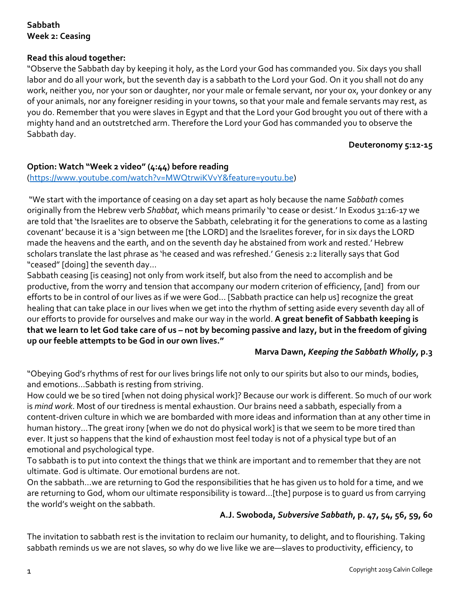# **Sabbath Week 2: Ceasing**

# **Read this aloud together:**

"Observe the Sabbath day by keeping it holy, as the Lord your God has commanded you. Six days you shall labor and do all your work, but the seventh day is a sabbath to the Lord your God. On it you shall not do any work, neither you, nor your son or daughter, nor your male or female servant, nor your ox, your donkey or any of your animals, nor any foreigner residing in your towns, so that your male and female servants may rest, as you do. Remember that you were slaves in Egypt and that the Lord your God brought you out of there with a mighty hand and an outstretched arm. Therefore the Lord your God has commanded you to observe the Sabbath day.

#### **Deuteronomy 5:12-15**

### **Option: Watch "Week 2 video" (4:44) before reading**

### (https://www.youtube.com/watch?v=MWQtrwiKVvY&feature=youtu.be)

"We start with the importance of ceasing on a day set apart as holy because the name *Sabbath* comes originally from the Hebrew verb *Shabbat*, which means primarily 'to cease or desist.' In Exodus 31:16-17 we are told that 'the Israelites are to observe the Sabbath, celebrating it for the generations to come as a lasting covenant' because it is a 'sign between me [the LORD] and the Israelites forever, for in six days the LORD made the heavens and the earth, and on the seventh day he abstained from work and rested.' Hebrew scholars translate the last phrase as 'he ceased and was refreshed.' Genesis 2:2 literally says that God "ceased" [doing] the seventh day...

Sabbath ceasing [is ceasing] not only from work itself, but also from the need to accomplish and be productive, from the worry and tension that accompany our modern criterion of efficiency, [and] from our efforts to be in control of our lives as if we were God… [Sabbath practice can help us] recognize the great healing that can take place in our lives when we get into the rhythm of setting aside every seventh day all of our efforts to provide for ourselves and make our way in the world. **A great benefit of Sabbath keeping is that we learn to let God take care of us – not by becoming passive and lazy, but in the freedom of giving up our feeble attempts to be God in our own lives."**

### **Marva Dawn,** *Keeping the Sabbath Wholly,* **p.3**

"Obeying God's rhythms of rest for our lives brings life not only to our spirits but also to our minds, bodies, and emotions…Sabbath is resting from striving.

How could we be so tired [when not doing physical work]? Because our work is different. So much of our work is *mind work*. Most of our tiredness is mental exhaustion. Our brains need a sabbath, especially from a content-driven culture in which we are bombarded with more ideas and information than at any other time in human history...The great irony [when we do not do physical work] is that we seem to be more tired than ever. It just so happens that the kind of exhaustion most feel today is not of a physical type but of an emotional and psychological type.

To sabbath is to put into context the things that we think are important and to remember that they are not ultimate. God is ultimate. Our emotional burdens are not.

On the sabbath…we are returning to God the responsibilities that he has given us to hold for a time, and we are returning to God, whom our ultimate responsibility is toward…[the] purpose is to guard us from carrying the world's weight on the sabbath.

# **A.J. Swoboda,** *Subversive Sabbath***, p. 47, 54, 56, 59, 60**

The invitation to sabbath rest is the invitation to reclaim our humanity, to delight, and to flourishing. Taking sabbath reminds us we are not slaves, so why do we live like we are—slaves to productivity, efficiency, to